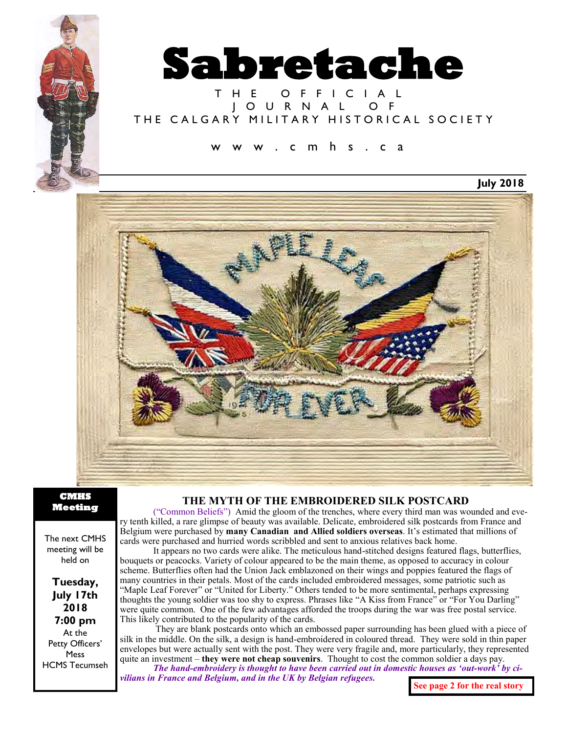

# T H E O F F I C I A L J O U R N A L O F THE CALGARY MILITARY HISTORICAL SOCIETY

# c m h s . c a

**July 2018**



**CMHS Meeting** 

The next CMHS meeting will be held on

**Tuesday, July 17th 2018 7:00 pm** At the Petty Officers' Mess HCMS Tecumseh

### **THE MYTH OF THE EMBROIDERED SILK POSTCARD**

("Common Beliefs") Amid the gloom of the trenches, where every third man was wounded and every tenth killed, a rare glimpse of beauty was available. Delicate, embroidered silk postcards from France and Belgium were purchased by **[many Canadian and Allied soldiers overseas](http://www.readersdigest.ca/features/heart/3-ways-teach-kids-remembrance-day/)**. It's estimated that millions of cards were purchased and hurried words scribbled and sent to anxious relatives back home.

It appears no two cards were alike. The meticulous hand-stitched designs featured flags, butterflies, bouquets or peacocks. Variety of colour appeared to be the main theme, as opposed to accuracy in colour scheme. Butterflies often had the Union Jack emblazoned on their wings and poppies featured the flags of many countries in their petals. Most of the cards included embroidered messages, some patriotic such as "Maple Leaf Forever" or "United for Liberty." Others tended to be more sentimental, perhaps expressing thoughts the young soldier was too shy to express. Phrases like "A Kiss from France" or "For You Darling" were quite common. One of the few advantages afforded the troops during the war was free postal service. This likely contributed to the popularity of the cards.

They are blank postcards onto which an embossed paper surrounding has been glued with a piece of silk in the middle. On the silk, a design is hand-embroidered in coloured thread. They were sold in thin paper envelopes but were actually sent with the post. They were very fragile and, more particularly, they represented quite an investment – **they were not cheap souvenirs**. Thought to cost the common soldier a days pay.

*The hand-embroidery is thought to have been carried out in domestic houses as 'out-work' by civilians in France and Belgium, and in the UK by Belgian refugees.*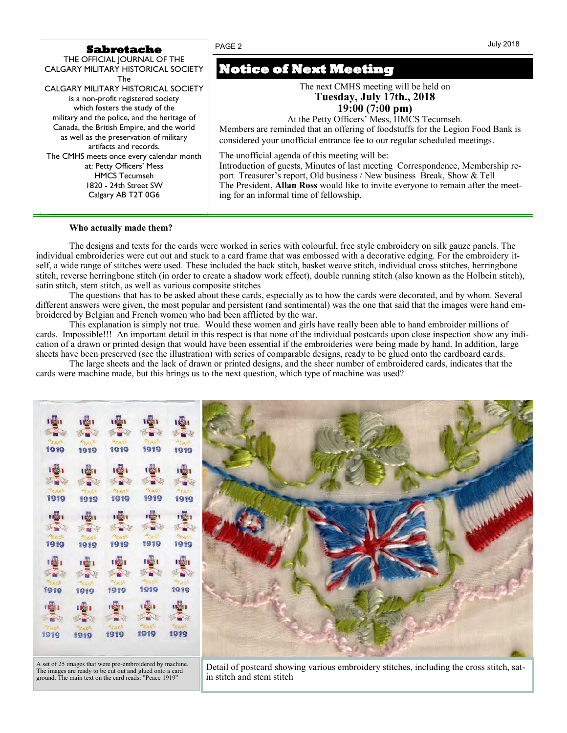#### **Sabretache**

THE OFFICIAL JOURNAL OF THE CALGARY MILITARY HISTORICAL SOCIETY The CALGARY MILITARY HISTORICAL SOCIETY is a non-profit registered society which fosters the study of the military and the police, and the heritage of Canada, the British Empire, and the world as well as the preservation of military artifacts and records. The CMHS meets once every calendar month at: Petty Officers' Mess HMCS Tecumseh 1820 - 24th Street SW Calgary AB T2T 0G6

#### **Who actually made them?**

# **Notice of Next Meeting**

The next CMHS meeting will be held on **Tuesday, July 17th., 2018 19:00 (7:00 pm)**

At the Petty Officers' Mess, HMCS Tecumseh.

Members are reminded that an offering of foodstuffs for the Legion Food Bank is considered your unofficial entrance fee to our regular scheduled meetings*.*

The unofficial agenda of this meeting will be:

Introduction of guests, Minutes of last meeting Correspondence, Membership report Treasurer's report, Old business / New business Break, Show & Tell The President, **Allan Ross** would like to invite everyone to remain after the meeting for an informal time of fellowship.

The designs and texts for the cards were worked in series with colourful, free style embroidery on silk gauze panels. The individual embroideries were cut out and stuck to a card frame that was embossed with a decorative edging. For the embroidery itself, a wide range of stitches were used. These included the back stitch, basket weave stitch, individual cross stitches, herringbone stitch, reverse herringbone stitch (in order to create a shadow work effect), double running stitch (also known as the Holbein stitch), satin stitch, stem stitch, as well as various composite stitches

The questions that has to be asked about these cards, especially as to how the cards were decorated, and by whom. Several different answers were given, the most popular and persistent (and sentimental) was the one that said that the images were hand embroidered by Belgian and French women who had been afflicted by the war.

This explanation is simply not true. Would these women and girls have really been able to hand embroider millions of cards. Impossible!!! An important detail in this respect is that none of the individual postcards upon close inspection show any indication of a drawn or printed design that would have been essential if the embroideries were being made by hand. In addition, large sheets have been preserved (see the illustration) with series of comparable designs, ready to be glued onto the cardboard cards.

The large sheets and the lack of drawn or printed designs, and the sheer number of embroidered cards, indicates that the cards were machine made, but this brings us to the next question, which type of machine was used?

1919 1919 1919 1919 1919 1919 1919 1919 1919 1919 **Dend** т 1919 1919 1919 1919 1919 1681 1919 1919 1919 1919 1919 1919 1919 1919 1919 1919

A set of 25 images that were pre-embroidered by machine. The images are ready to be cut out and glued onto a card ground. The main text on the card reads: "Peace 1919"

Detail of postcard showing various embroidery stitches, including the cross stitch, satin stitch and stem stitch



#### July 2018

PAGE 2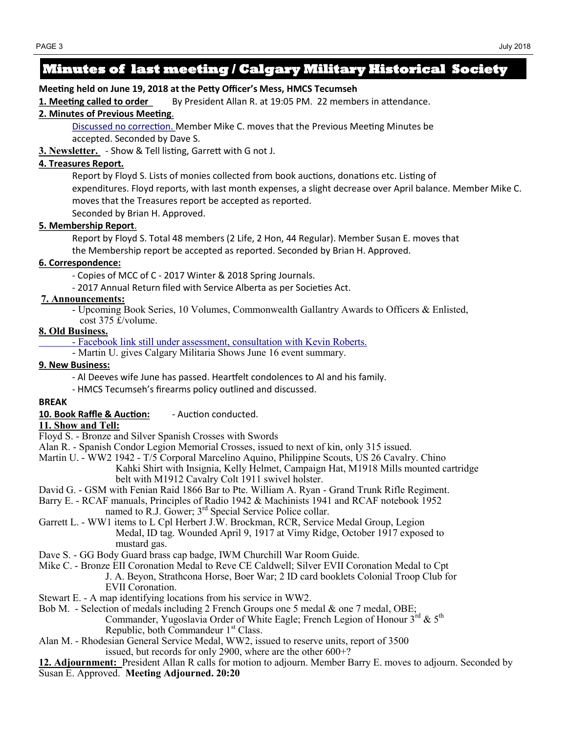# **Minutes of last meeting / Calgary Military Historical Society**

# **Meeting held on June 19, 2018 at the Petty Officer's Mess, HMCS Tecumseh**

**1. Meeting called to order** By President Allan R. at 19:05 PM. 22 members in attendance.

### **2. Minutes of Previous Meeting**.

Discussed no correction. Member Mike C. moves that the Previous Meeting Minutes be accepted. Seconded by Dave S.

**3. Newsletter.** - Show & Tell listing, Garrett with G not J.

# **4. Treasures Report***.*

Report by Floyd S. Lists of monies collected from book auctions, donations etc. Listing of expenditures. Floyd reports, with last month expenses, a slight decrease over April balance. Member Mike C. moves that the Treasures report be accepted as reported. Seconded by Brian H. Approved.

# **5. Membership Report**.

Report by Floyd S. Total 48 members (2 Life, 2 Hon, 44 Regular). Member Susan E. moves that the Membership report be accepted as reported. Seconded by Brian H. Approved.

# **6. Correspondence:**

- Copies of MCC of C - 2017 Winter & 2018 Spring Journals.

- 2017 Annual Return filed with Service Alberta as per Societies Act.

# **7. Announcements:**

- Upcoming Book Series, 10 Volumes, Commonwealth Gallantry Awards to Officers & Enlisted,
- cost 375 £/volume.

### **8. Old Business.**

- Facebook link still under assessment, consultation with Kevin Roberts.

- Martin U. gives Calgary Militaria Shows June 16 event summary.

# **9. New Business:**

- Al Deeves wife June has passed. Heartfelt condolences to Al and his family.
- HMCS Tecumseh's firearms policy outlined and discussed.

### **BREAK**

**10. Book Raffle & Auction:** - Auction conducted.

### **11. Show and Tell:**

- Floyd S. Bronze and Silver Spanish Crosses with Swords
- Alan R. Spanish Condor Legion Memorial Crosses, issued to next of kin, only 315 issued.
- Martin U. WW2 1942 T/5 Corporal Marcelino Aquino, Philippine Scouts, US 26 Cavalry. Chino
	- Kahki Shirt with Insignia, Kelly Helmet, Campaign Hat, M1918 Mills mounted cartridge belt with M1912 Cavalry Colt 1911 swivel holster.
- David G. GSM with Fenian Raid 1866 Bar to Pte. William A. Ryan Grand Trunk Rifle Regiment.
- Barry E. RCAF manuals, Principles of Radio 1942 & Machinists 1941 and RCAF notebook 1952 named to R.J. Gower;  $3<sup>rd</sup>$  Special Service Police collar.
- Garrett L. WW1 items to L Cpl Herbert J.W. Brockman, RCR, Service Medal Group, Legion Medal, ID tag. Wounded April 9, 1917 at Vimy Ridge, October 1917 exposed to mustard gas.
- Dave S. GG Body Guard brass cap badge, IWM Churchill War Room Guide.
- Mike C. Bronze EII Coronation Medal to Reve CE Caldwell; Silver EVII Coronation Medal to Cpt J. A. Beyon, Strathcona Horse, Boer War; 2 ID card booklets Colonial Troop Club for EVII Coronation.
- Stewart E. A map identifying locations from his service in WW2.
- Bob M. Selection of medals including 2 French Groups one 5 medal & one 7 medal, OBE; Commander, Yugoslavia Order of White Eagle; French Legion of Honour  $3^{rd}$  &  $5^{th}$ Republic, both Commandeur  $1<sup>st</sup>$  Class.
- Alan M. Rhodesian General Service Medal, WW2, issued to reserve units, report of 3500 issued, but records for only 2900, where are the other 600+?

**12. Adjournment:** President Allan R calls for motion to adjourn. Member Barry E. moves to adjourn. Seconded by Susan E. Approved. **Meeting Adjourned. 20:20**